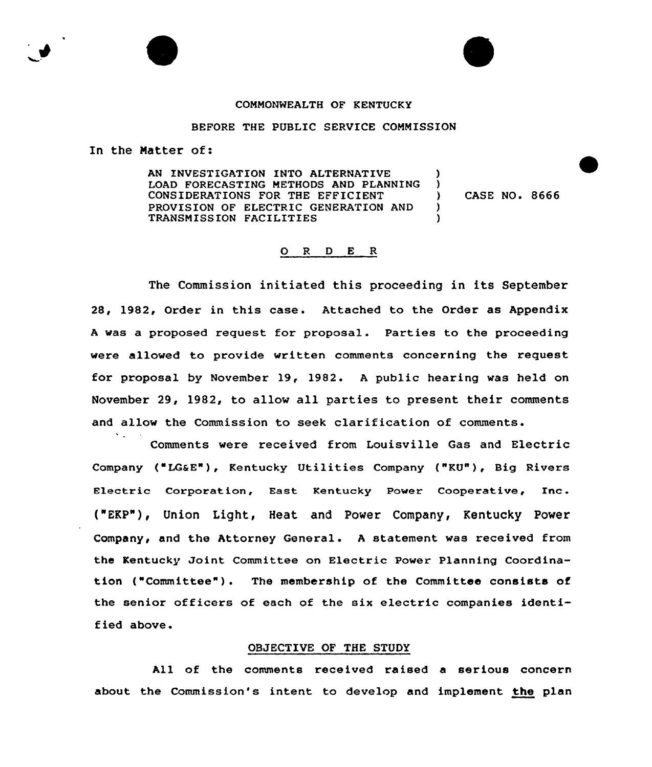# COMMONWEALTH OF KENTUCKY

# BEFORE THE PUBLIC SERVICE COMMISSION

In the Matter of:

AN INVESTIGATION INTO ALTERNATIVE LOAD FORECASTING METHODS AND PLANNING CONSIDERATIONS FOR THE EFFICIENT PROVISION OF ELECTRIC GENERATION AND TRANSMISSION FACILITIES )  $\frac{1}{2}$  $\lambda$ )

) CASE NO. 8666

# 0 <sup>R</sup> <sup>D</sup> E R

The Commission initiated this proceeding in its September 28, 1982, Order in this case. Attached to the Order as Appendix <sup>A</sup> was a proposed request for proposal. Parties to the proceeding were allowed to provide written comments concerning the request for proposal by November 19, 1982. <sup>A</sup> public hearing was held on November 29, 1982, to allow all parties to present their comments and allow the Commission to seek clarification of comments.

Comments were received from Louisville Gas and Electric Company ("LG&E"), Kentucky Utilities Company ("KU"), Big Rivers Electric Corporation, East Kentucky Power Cooperative, Inc. ("EKP"), Union Light, Heat and Power Company, Kentucky Power Company, and the Attorney General. <sup>A</sup> statement was received from the Kentucky Joint Committee on Electric Power Planning Coordination ("Committee"). The membership of the Committee consists of the senior officers of each of the six electric companies identified above.

### OBJECTIVE OF THE STUDY

All of the comments received raised a serious concern about the Commission's intent to develop and implement the plan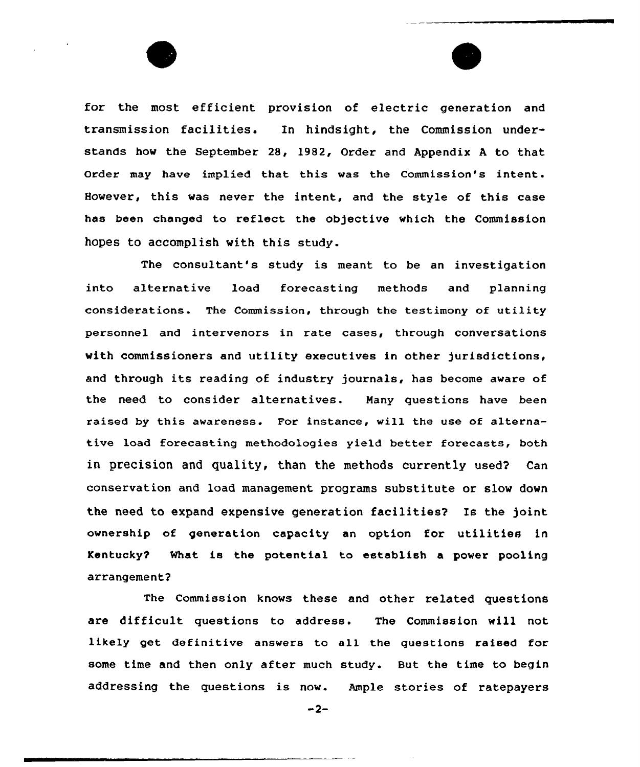for the most efficient provision of electric generation and transmission facilities. In hindsight, the Commission understands how the September 28, 1982, Order and Appendix <sup>A</sup> to that Order may have implied that this was the Commission's intent. However, this was never the intent, and the style of this case has been changed to reflect the objective which the Commission hopes to accomplish with this study.

The consultant's study is meant to be an investigation into alternative load forecasting methods and planning considerations. The Commission, through the testimony of utility personnel and intervenors in rate cases, through conversations with commissioners and utility executives in other jurisdictions, and through its reading of industry journals, has become aware of the need to consider alternatives. Many questions have been raised by this awareness. For instance, will the use of alternative load forecasting methodologies yield better forecasts, both in precision and quality, than the methods currently used? Can conservation and load management programs substitute or slow down the need to expand expensive generation facilities? Is the )oint ownership of generation capacity an option for utilities in Kentucky? What is the potential to establish a power pooling arrangement?

The Commission knows these and other related questions are difficult questions to address. The Commission will not likely get definitive answers to all the questions raised for some time and then only after much study. But the time to begin addressing the questions is now. Ample stories of ratepayers

 $-2-$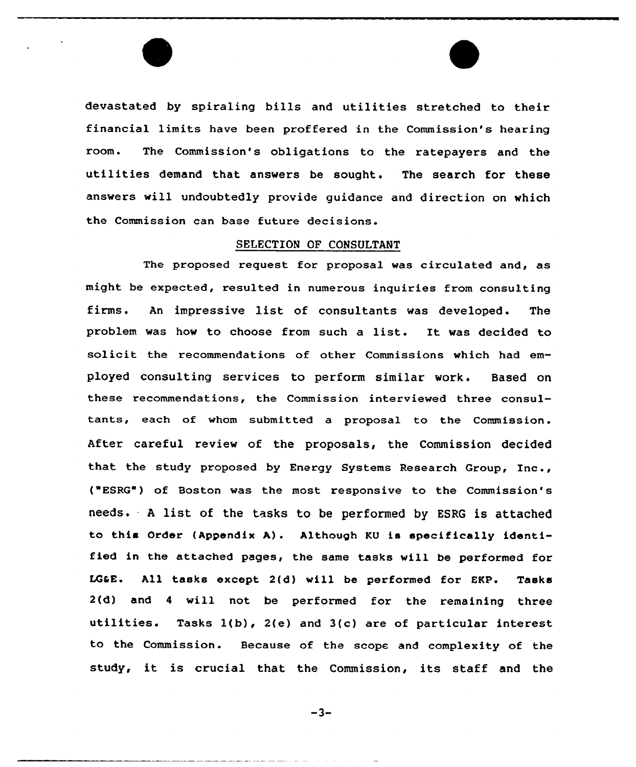devastated by spiraling bills and utilities stretched to their financial limits have been proffered in the Commission's hearing room. The Commission's obligations to the ratepayers and the utilities demand that answers be sought. The search for these answers will undoubtedly provide guidance and direction on which the Commission can base future decisions.

# SELECTION OF CONSULTANT

The proposed request for proposal was circulated and, as might be expected, resulted in numerous inquiries from consulting firms. An impressive list of consultants was developed. The problem was how to choose from such a list. It was decided to solicit the recommendations of other Commissions which had employed consulting services to perform similar work. Based on these recommendations, the Commission interviewed three consultants, each of whom submitted a proposal to the Commission. After careful review of the proposals, the Commission decided that the study proposed by Energy Systems Research Group, Inc., ("ESRG") of Boston was the most responsive to the Commission's needs. <sup>A</sup> list of the tasks to be performed by ESRG is attached to this Order (Appendix A). Although KU is specifically identified in the attached pages, the same tasks will be performed for LGSE. All tasks except 2(d) will be performed for EKP. Tasks 2(d) and <sup>4</sup> will not be performed for the remaining three utilities. Tasks l(b), 2(e) and 3(c) are of particular interest to the Commission. Because of the scape and complexity of the study, it is crucial that the Commission, its staff and the

 $-3-$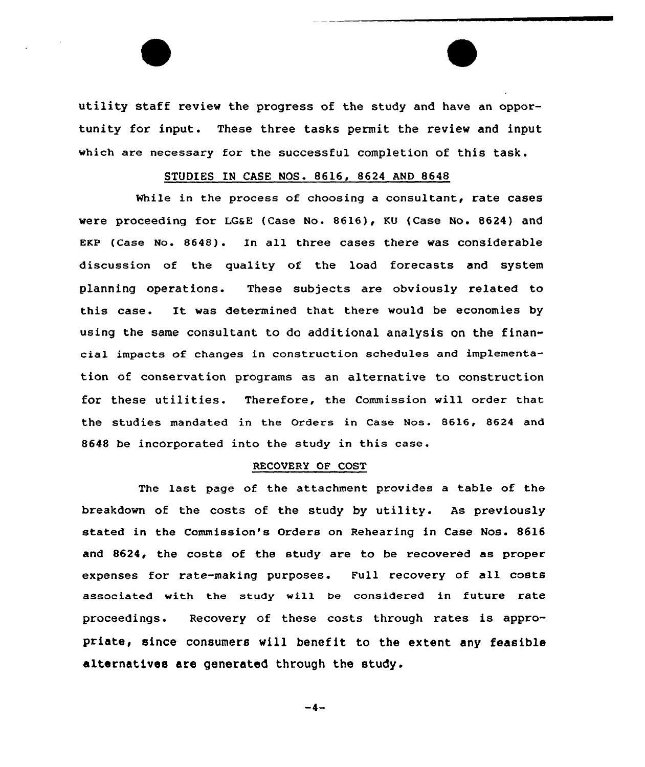utility staff review the progress of the study and have an opportunity for input. These three tasks permit the review and input which are necessary for the successful completion of this task.

# STUDIES IN CASE NOS. 8616, 8624 AND 8648

While in the process of choosing a consultant, rate cases were proceeding for LGaE (Case No. 8616), KU (Case No. 8624) and EKP (Case No. 8648). In all three cases there was considerable discussion of the quality of the load forecasts and system planning operations. These subjects are obviously related to this case. It was determined that there would be economies by using the same consultant to do additional analysis on the financial impacts of changes in construction schedules and implementation of conservation programs as an alternative to construction for these utilities. Therefore, the Commission will order that the studies mandated in the Orders in Case Nos. 8616, 8624 and 8648 be incorporated into the study in this case.

### RECOVERY OF COST

The last page of the attachment provides a table of the breakdown of the costs of the study by utility. As previously stated in the Commission's Orders on Rehearing in Case Nos. 8616 and 8624, the costs of the study are to be recovered as proper expenses for rate-making purposes. Full recovery of all costs associated with the study will be considered in future rate proceedings. Recovery of these costs through rates is appropriate, since consumers will benefit to the extent any feasible alternatives are generated through the study.

 $-4-$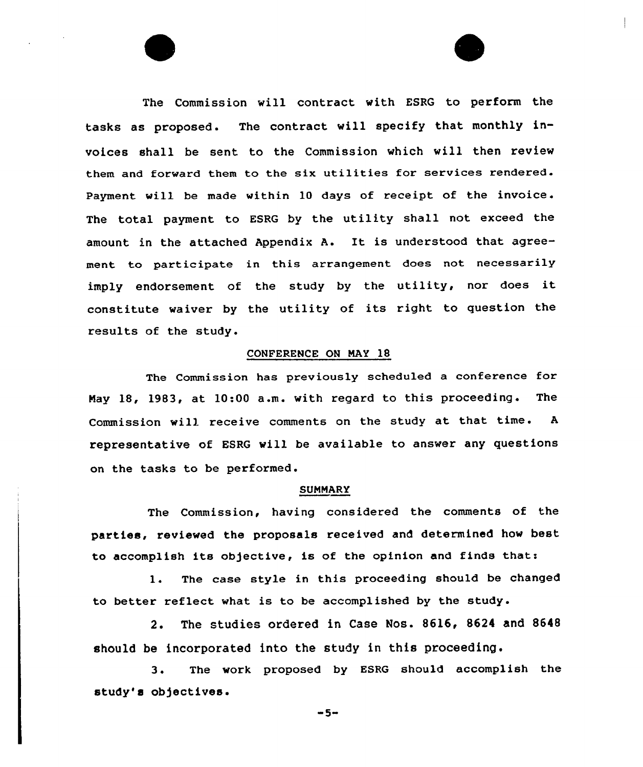The Commission will contract with ESRG to perform the tasks as proposed. The contract vill specify that monthly invoices shall be sent. to the Commission which will then review them and forward them to the six utilities for services rendered. Payment will be made within 10 days of receipt of the invoice. The total payment to ESRG by the utility shall not exceed the amount in the attached Appendix A. It is understood that agreement to participate in this arrangement does not necessarily imply endorsement of the study by the utility, nor does it constitute waiver by the utility of its right to question the results of the study.

### CONFERENCE ON NAY 18

The Commission has previously scheduled a conference for Nay 18, 1983, at 10:00 a.m. with regard to this proceeding . The Commission will receive comments on the study at that time. <sup>A</sup> representative of ESRG will be available to answer any questions on the tasks to be performed.

### SUMMARY

The Commission, having considered the comments of the parties, reviewed the proposals received and determined how best to accomplish its objective, is of the opinion and finds that:

1. The case style in this proceeding should be changed to better reflect what is to be accomplished by the study.

2. The studies ordered in Case Nos. 8616, 8624 and 8648 should be incorporated into the study in this proceeding.

3. The work proposed by ESRG should accomplish the study's ob)ectives.

 $-5-$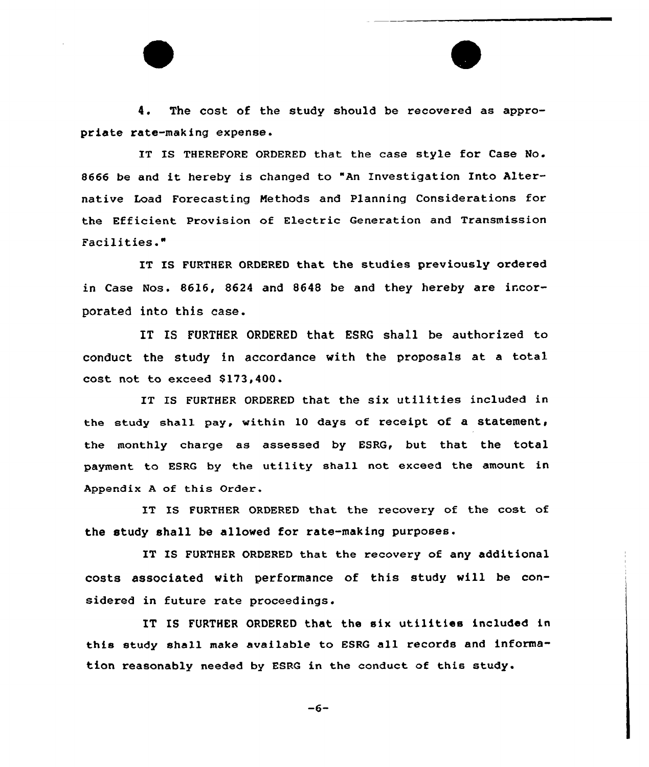4. The cost of the study should be recovered as appropriate rate-making expense.

IT IS THEREFORE ORDERED that the case style for Case No. <sup>8666</sup> be and it hereby is changed to "An Investigation Into Alternative Load Forecasting Methods and Planning Considerations for the Efficient Provision of Electric Generation and Transmission Facilities."

IT IS FURTHER ORDERED that the studies previously ordered in Case Nos. 8616, 8624 and 8648 be and they hereby are incorporated into this case.

IT IS FURTHER ORDERED that ESRG shall be authorized to conduct the study in accordance with the proposals at <sup>a</sup> total cost not to exceed 8173,4QQ.

IT IS FURTHER ORDERED that the six utilities included in the study shall pay, within 10 days of receipt of a statement, the monthly charge as assessed by ESRG, but that the total payment to ESRG by the utility shall not exceed the amount in Appendix <sup>A</sup> of this Order.

IT IS FURTHER ORDERED that the recovery of the cost of the study shall be allowed for rate-making purposes.

IT IS FURTHER ORDERED that the recovery of any additional costs associated with performance of this study will be considered in future rate proceedings.

IT IS FURTHER ORDERED that the six utilities included in this study shall make available to ESRG all records and information reasonably needed by EBRG in the conduct of this study.

 $-6-$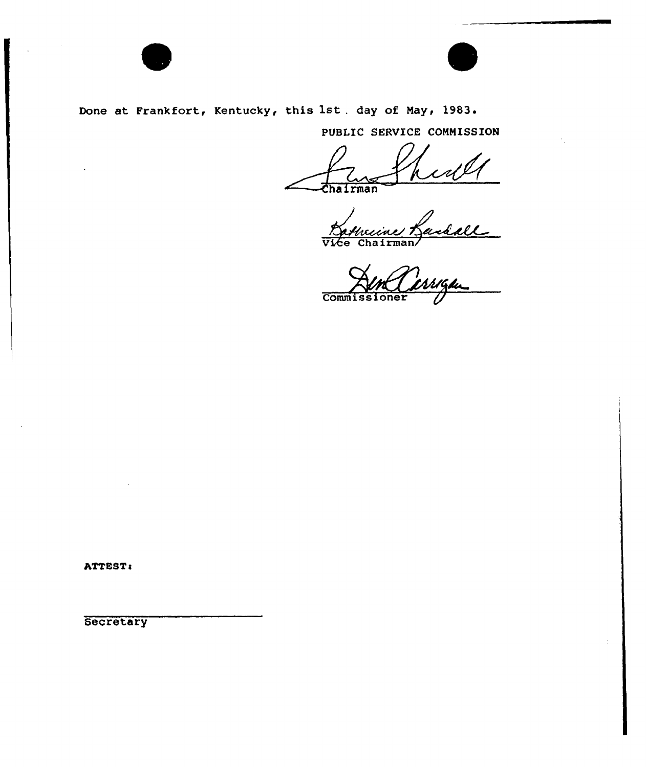



Done at Frankfort, Kentucky, this 1st. day of May, 1983.

PUBLIC SERVICE COMMISSION

Chairman

Tran<br>Viccine Randall

**Commissioner** 

ATTEST:

Secretary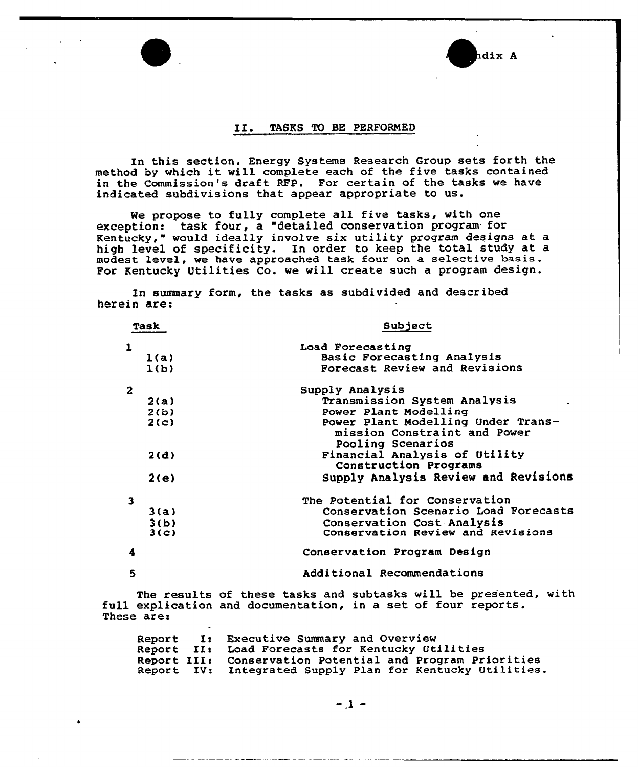# hdix A

### II. TASKS To BE PERFORMED

In this section. Energy Systems Research Group sets forth the method by which it will complete each of the five tasks contained in the Commission's draft RFP. For certain of the tasks we have indicated subdivisions that appear appropriate to us.

We propose to fully complete all five tasks, with one exception: task four, a "detailed conservation program. for Kentucky," would ideally involve six utility program designs at a high level of specificity. In order to keep the total study at a modest level, we have approached task four on a selective basis. For Kentucky Utilities Co. we will create such a program design.

In summary form, the tasks as subdivided and described herein are:

| Task         |      | Subject                                                                                 |  |  |  |  |
|--------------|------|-----------------------------------------------------------------------------------------|--|--|--|--|
| 1            |      | Load Forecasting                                                                        |  |  |  |  |
|              | l(a) | Basic Forecasting Analysis                                                              |  |  |  |  |
|              | 1(b) | Forecast Review and Revisions                                                           |  |  |  |  |
| $\mathbf{2}$ |      | Supply Analysis                                                                         |  |  |  |  |
|              | 2(a) | Transmission System Analysis                                                            |  |  |  |  |
|              | 2(b) | Power Plant Modelling                                                                   |  |  |  |  |
|              | 2(c) | Power Plant Modelling Under Trans-<br>mission Constraint and Power<br>Pooling Scenarios |  |  |  |  |
|              | 2(d) | Financial Analysis of Utility<br>Construction Programs                                  |  |  |  |  |
|              | 2(e) | Supply Analysis Review and Revisions                                                    |  |  |  |  |
| 3            |      | The Potential for Conservation                                                          |  |  |  |  |
|              | 3(a) | Conservation Scenario Load Forecasts                                                    |  |  |  |  |
|              | 3(b) | Conservation Cost Analysis                                                              |  |  |  |  |
|              | 3(c) | Conservation Review and Revisions                                                       |  |  |  |  |
|              |      | Conservation Program Design                                                             |  |  |  |  |
| 5            |      | Additional Recommendations                                                              |  |  |  |  |

The results of these tasks and subtasks will be presented, with full explication and documentation, in a set of four reports. These are:

| $\bullet$ |                                                           |
|-----------|-----------------------------------------------------------|
|           | Report I: Executive Summary and Overview                  |
|           | Report II: Load Forecasts for Kentucky Utilities          |
|           | Report III: Conservation Potential and Program Priorities |
|           | Report IV: Integrated Supply Plan for Kentucky Utilities. |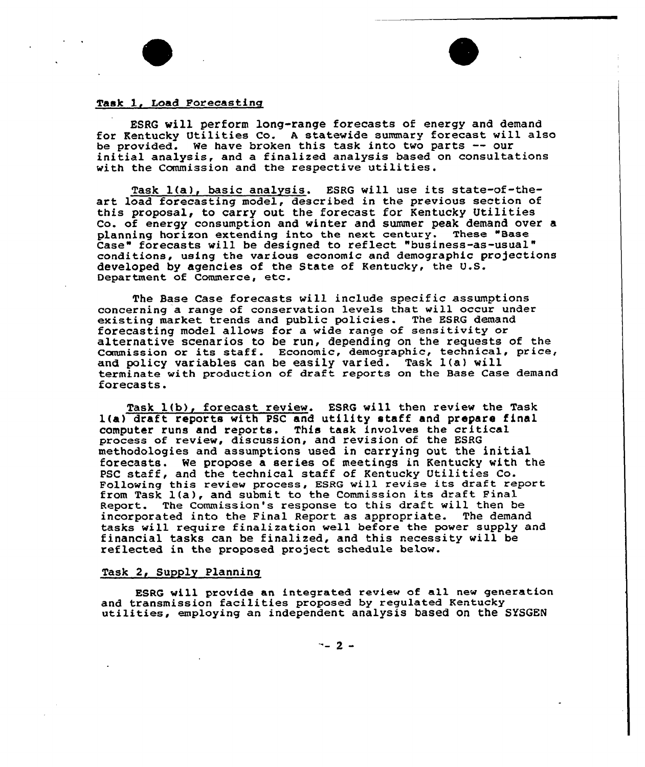

ESRG will perform long-range forecasts of energy and demand for Kentucky Utilities Co. A statewide summary forecast will also<br>be provided. We have broken this task into two parts -- our initial analysis, and a finalized analysis based on consultations with the Commission and the respective utilities.

Task l(a), basic analysis. ESRG will use its state-of-theart load forecasting model, described in the previous section of this proposal, to carry out the forecast for Kentucky Utilities Co. of energy consumption and winter and summer peak demand over a planning horizon extending into the next century. These "Base Case" forecasts will be designed to reflect "business-as-usual" conditions, using the various economic and demographic projections developed by agencies of the State of Kentucky, the U.S. Department of Commerce, etc.

The Base Case forecasts will include specific assumptions concerning a range of conservation levels that will occur under existing market trends and public policies. The ESRG demand forecasting model allows fox a wide xange of sensitivity or alternative scenarios to be run, depending on the requests of the Commission or its staff. Economic, demographic, technical, price, and policy variables can be easily varied. Task 1(a) will texminate with production of dxaft reports on the Base Case demand forecasts.

Task 1(b), forecast review. ESRG will then review the Task 1(a) draft reports with PSC and utility staff and prepare final computer runs and reports. This task involves the critical process of review, discussion, and revision of the ESRG methodologies and assumptions used in carrying out, the initial forecasts. We propose a series of meetings in Kentucky with the PSC staff, and the technical staff of Kentucky Utilities Co. Pollowing this review process, ESRG will revise its draft report from Task l(a), and submit to the Commission its draft Pinal Report. The Commission's response to this draft will then be incorporated into the Final Report as appropriate. The demand tasks will require finalization well before the power supply and financial tasks can be finalized, and this necessity will be reflected in the proposed project schedule below.

# Task 2, Supply Planning

ESRG will provide an integrated review of all new generation<br>and transmission facilities proposed by regulated Kentucky utilities, employing an independent analysis based on the SYSGEN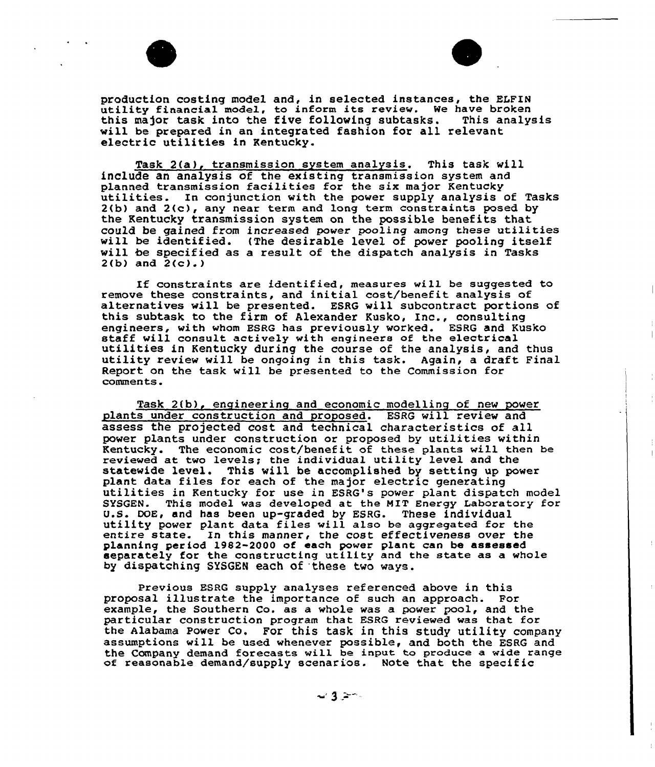

production costing model and, in selected instances, the ELFIN<br>utility financial model, to inform its review. We have broken<br>this major task into the five following subtasks. This analysis this major task into the five following subtasks. will be prepared in an integrated fashion for all relevant electric utilities in Kentucky.

Task 2(a), transmission system analysis. This task will include an analysis of the existing transmission system and<br>planned transmission facilities for the six major Kentucky utilities. In conjunction with the power supply analysis of Tasks 2(b) and 2(c), any near term and long term constraints posed by the Kentucky transmission system on the possible benefits that could be gained from increased power pooling among these utilities will be identified. (The desirable level of power pooling itself will be specified as a result of the dispatch analysis in Tasks  $2(b)$  and  $2(c)$ .)

If constraints are identified, measures will be suggested to remove these constraints, and initial cost/benefit analysis of alternatives will be presented. ESRG will subcontract portions of this subtask to the firm of Alexander Kusko, Inc., consulting<br>engineers, with whom ESRG has previously worked. ESRG and Kusko staff will consult actively with engineers of the electrical<br>utilities in Kentucky during the course of the analysis, and thus<br>utility review will be ongoing in this task. Again, a draft Final Report on the task will be presented to the Commission for comments.

Task 2(b), engineering and economic modelling of new power plants under construction and proposed. ESRG will review and assess the projected cost and technical characteristics of all power plants under construction or proposed by utilities within Kentucky. The economic cost/benefit of these plants will then be reviewed at two levels; the individual utility level and the statewide level. This will be accomplished by setting up power plant data files for each of the major electric generating utilities in Kentucky for use in ESRG's power plant dispatch model SYSGEN. This model was developed at the MIT Energy Laboratory for<br>U.S. DOE, and has been up-graded by ESRG. These individual utility power plant data files will also be aggregated for the entire state. In this manner, the cost effectiveness over the planning per iod 1982-2000 of each power plant can be assessed separately for the constructing utility and the state as a whole by dispatching SYSGEN each of these two ways.

Previous ESRG supply analyses referenced above in this proposal illustrate the importance of such an approach. For example, the Southern Co. as a whole was a power pool, and the particular construction program that EsRG reviewed was that for the Alabama Power Co. For this task in this study utility company assumptions will be used whenever possible, and both the ESRG and the Company demand forecasts will be input to produce a wide range of reasonable demand/supply scenarios. Note that the specific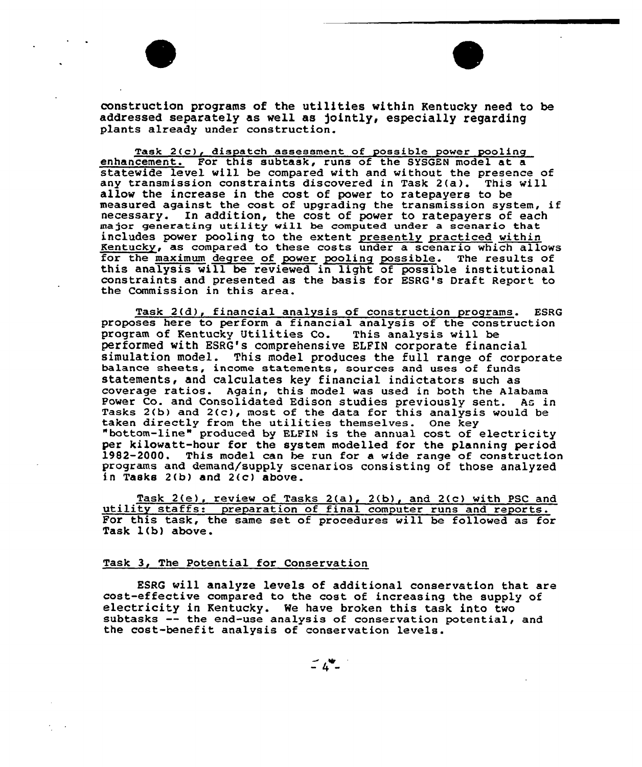

construction programs of the utilities within Kentucky need to be addressed separately as well as jointly, especially regarding plants already under construction.

Task 2(c), dispatch assessment of possible power pooling enhancement. For this subtask, runs of the SYSGEN model at a statevide level will be compared with and vithout the presence of any transmission constraints discovered in Task 2(a). This will allow the increase in the cost of power to ratepayers to be measured against the cost of upgrading the transmission system, if necessary. In addition, the cost of power to ratepayers of each major generating utility will be computed under a scenario that includes power pooling to the extent presently practiced within Kentucky, as compared to these costs under a scenario which allow<br>for the maximum degree of power pooling possible. The results of<br>this analysis will be reviewed in light of possible institutional<br>constraints and presented constraints and presented as the basis for ESRG's Draft Report to the Commission in this area.

Task 2(d), financial analysis of construction programs. ESRG proposes here to perform a financial analysis of the construction program of Kentucky Utilities Co. This analysis vill be performed with ESRG's comprehensive ELFIN corporate financial simulation model. This model produces the full range of corporate balance sheets, income statements, sources and uses of funds statements, and calculates key financial indictators such as coverage ratios. Again, this model vas used in both the Alabama Power Co. and Consolidated Edison studies previously sent. As in Tasks 2(b) and 2(c), most of the data for this analysis would be taken directly from the utilities themselves. One key "bottom-line" produced by ELFIN is the annual cost of electricity<br>per kilowatt-hour for the system modelled for the planning period 1982-2000. This model can be run for a wide range of construction programs and demand/supply scenarios consisting of those analyzed in Tasks 2(b) and 2(c) above.

Task 2(e), review of Tasks 2(a), 2(b), and 2(c) with PSC and utility staffs: preparation of final computer runs and reports. For this task, the same set of procedures will be followed as for Task l(b) above.

### Task 3, The Potential for Conservation

ESRG will analyze levels of additional conservation that are cost-effective compared to the cost of increasing the supply of electricity in Kentucky. We have broken this task into two subtasks -- the end-use analysis of conservation potential, and the cost-benefit analysis of conservation levels.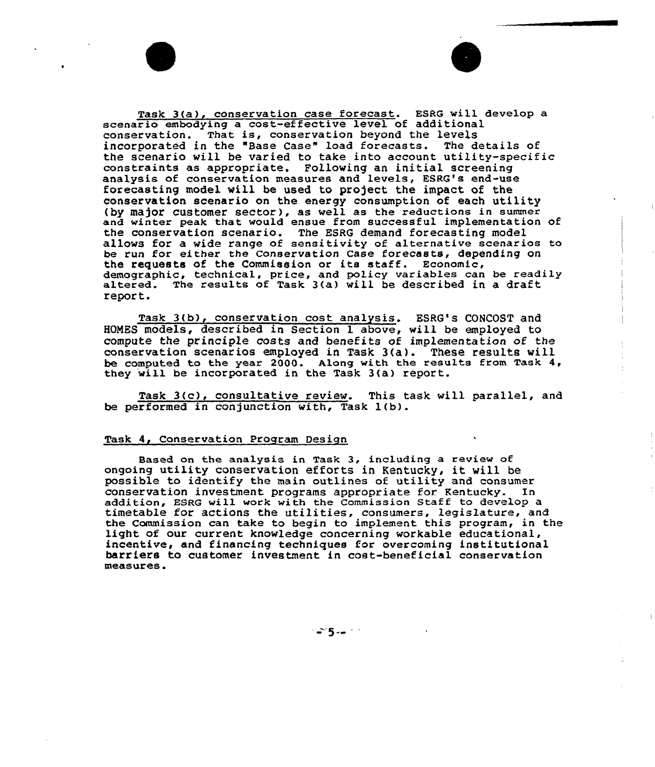Task 3(a), conservation case forecast. ESRG will develop a scenario embodying a cost-effective level of additional conservation. That is, conservation beyond the levels incorporated in the "Base Case" load forecasts. The details of the scenario will be varied to take into account utility-specific constraints as appropriate. Following an initial screening analysis of conservation measures and Levels, ESRG's end-use forecasting model will be used to project. the impact of the conservation scenario on the energy consumption of each utilit (by major customer sector), as well as the reductions in summer and winter peak that would ensue from successful implementation of the conservation scenario. The ESRG demand forecasting model allows for a wide range of sensitivity of alternative scenarios to be run for either the Conservation Case forecasts, depending on the requests of the Commission or its staff. Economic, demographic, technical, price, and policy variables can be readily altered. The results of Task 3(a) will be described in a draft report.

Task 3(b), conservation cost analysis. ESRG's CONCOST and HOMES models, described in Section 1 above, will be employed to compute the principle Costs and benefits of implementation of the conservation scenarios employed in Task 3(a). These results will be computed to the year 2000. Along with the results from Task  $4$ , they will be incorporated in the Task 3(a) report.

Task 3(c), consultative review. This task will parallel, and be performed in conjunction with, Task 1(b).

### Task 4, Conservation Program Design

Based on the analysis in Task 3, including a review of ongoing utility conservation efforts in Kentucky, it vill be possible to identify the main outlines of utility and consumer conservation investment programs appropriate for Kentucky. In addition, ESRQ will work with the Commission Staff to develop a timetable for actions the utilities, consumers, legislature, and the Commission can take to begin to implement this program, in the light of our current knowledge concerning workable educational, incentive, and financing techniques for overcoming institutional barriers to customer investment in cost-beneficial conservation measures.

ுள் தியூ ரா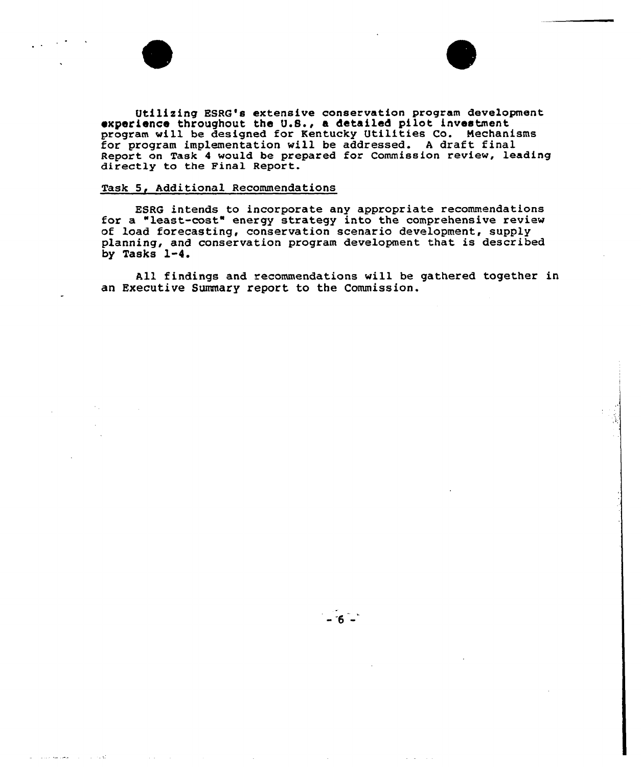



Utilizing ESRG's extensive conservation program development <sup>~</sup>xperience throughout the U.S., a detailed pilot investment program will be designed for Kentucky Utilities Co. Mechanisms for program implementation will be addressed. <sup>A</sup> draft final Report on Task <sup>4</sup> would be prepared for Commission review, leading directly to the Final Report.

# Task 5, Additional Recommendations

ESRG intends to incorporate any appropriate recommendations for a "least-cost" energy strategy into the comprehensive review of load forecasting, conservation scenario development, supply planning, and conservation program development that is described by Tasks 1-4.

All findings and recommendations will be gathered together in an Executive Summary report to the Commission.

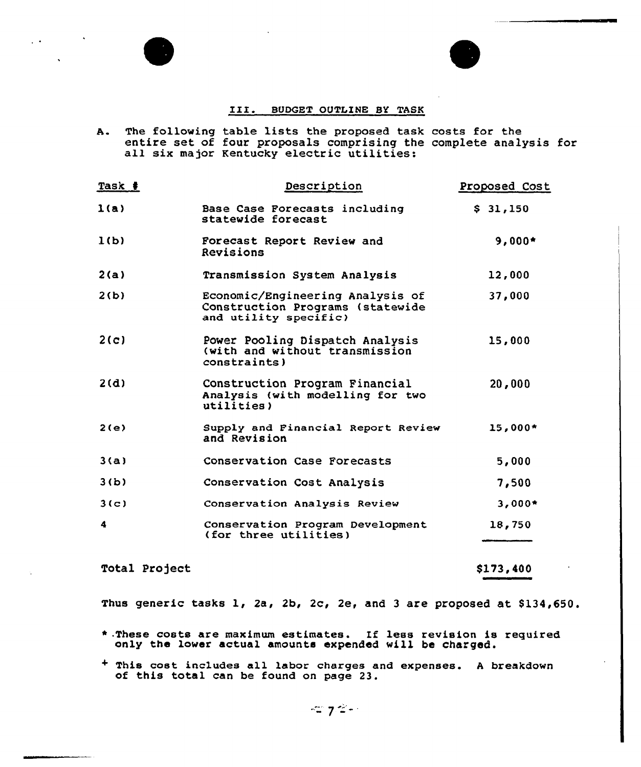# III. BUDGET OUTLINE BY TASK

A. The following table lists the proposed task costs for the entire set of four proposals comprising the complete analysis for all six major Kentucky electric utilities:

| Task # | Description                                                                                   | Proposed Cost |
|--------|-----------------------------------------------------------------------------------------------|---------------|
| 1(a)   | Base Case Porecasts including<br>statewide forecast                                           | \$31,150      |
| 1(b)   | Forecast Report Review and<br>Revisions                                                       | $9,000*$      |
| 2(a)   | Transmission System Analysis                                                                  | 12,000        |
| 2(b)   | Economic/Engineering Analysis of<br>Construction Programs (statewide<br>and utility specific) | 37,000        |
| 2(c)   | Power Pooling Dispatch Analysis<br>(with and without transmission<br>constant                 | 15,000        |
| 2(d)   | Construction Program Financial<br>Analysis (with modelling for two<br>utilities)              | 20,000        |
| 2(e)   | Supply and Financial Report Review<br>and Revision                                            | $15.000*$     |
| 3(a)   | Conservation Case Forecasts                                                                   | 5,000         |
| 3(b)   | Conservation Cost Analysis                                                                    | 7,500         |
| 3(c)   | Conservation Analysis Review                                                                  | $3,000*$      |
| 4      | Conservation Program Development<br>(for three utilities)                                     | 18,750        |

Total Project  $$173,400$ 

Thus generic tasks 1, 2a, 2b, 2c, 2e, and 3 are proposed at \$134,650.

- \*.These costs are maximum estimates. If less revision is required only the lower actual amounts expended will be charged.
- <sup>+</sup> This cost includes all labor charges and expenses. <sup>A</sup> breakdown of this total can be found on page 23.